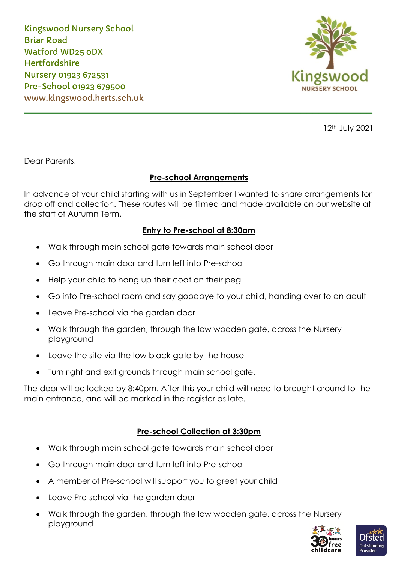Kingswood Nursery School Briar Road Watford WD25 0DX **Hertfordshire** Nursery 01923 672531 Pre-School 01923 679500 www.kingswood.herts.sch.uk



12th July 2021

Dear Parents,

# **Pre-school Arrangements**

\_\_\_\_\_\_\_\_\_\_\_\_\_\_\_\_\_\_\_\_\_\_\_\_\_\_\_\_\_\_\_\_\_\_\_\_\_\_\_\_\_\_\_\_\_\_\_\_\_\_\_\_\_\_\_\_\_\_

In advance of your child starting with us in September I wanted to share arrangements for drop off and collection. These routes will be filmed and made available on our website at the start of Autumn Term.

# **Entry to Pre-school at 8:30am**

- Walk through main school gate towards main school door
- Go through main door and turn left into Pre-school
- Help your child to hang up their coat on their peg
- Go into Pre-school room and say goodbye to your child, handing over to an adult
- Leave Pre-school via the garden door
- Walk through the garden, through the low wooden gate, across the Nursery playground
- Leave the site via the low black gate by the house
- Turn right and exit grounds through main school gate.

The door will be locked by 8:40pm. After this your child will need to brought around to the main entrance, and will be marked in the register as late.

# **Pre-school Collection at 3:30pm**

- Walk through main school gate towards main school door
- Go through main door and turn left into Pre-school
- A member of Pre-school will support you to greet your child
- Leave Pre-school via the garden door
- Walk through the garden, through the low wooden gate, across the Nursery playground